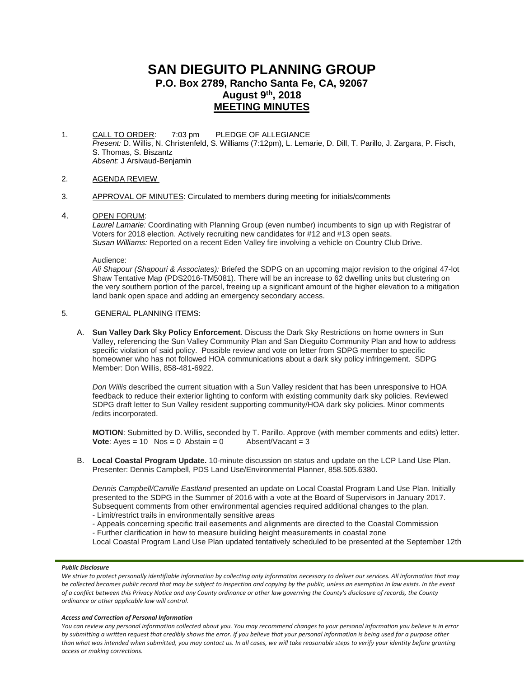# **SAN DIEGUITO PLANNING GROUP P.O. Box 2789, Rancho Santa Fe, CA, 92067 August 9th, 2018 MEETING MINUTES**

1. CALL TO ORDER: 7:03 pm PLEDGE OF ALLEGIANCE *Present:* D. Willis, N. Christenfeld, S. Williams (7:12pm), L. Lemarie, D. Dill, T. Parillo, J. Zargara, P. Fisch, S. Thomas, S. Biszantz *Absent:* J Arsivaud-Benjamin

## 2. AGENDA REVIEW

3. APPROVAL OF MINUTES: Circulated to members during meeting for initials/comments

### 4. OPEN FORUM:

*Laurel Lamarie:* Coordinating with Planning Group (even number) incumbents to sign up with Registrar of Voters for 2018 election. Actively recruiting new candidates for #12 and #13 open seats. *Susan Williams:* Reported on a recent Eden Valley fire involving a vehicle on Country Club Drive.

Audience:

*Ali Shapour (Shapouri & Associates):* Briefed the SDPG on an upcoming major revision to the original 47-lot Shaw Tentative Map (PDS2016-TM5081). There will be an increase to 62 dwelling units but clustering on the very southern portion of the parcel, freeing up a significant amount of the higher elevation to a mitigation land bank open space and adding an emergency secondary access.

### 5. GENERAL PLANNING ITEMS:

A. **Sun Valley Dark Sky Policy Enforcement**. Discuss the Dark Sky Restrictions on home owners in Sun Valley, referencing the Sun Valley Community Plan and San Dieguito Community Plan and how to address specific violation of said policy. Possible review and vote on letter from SDPG member to specific homeowner who has not followed HOA communications about a dark sky policy infringement. SDPG Member: Don Willis, 858-481-6922.

*Don Willis* described the current situation with a Sun Valley resident that has been unresponsive to HOA feedback to reduce their exterior lighting to conform with existing community dark sky policies. Reviewed SDPG draft letter to Sun Valley resident supporting community/HOA dark sky policies. Minor comments /edits incorporated.

**MOTION**: Submitted by D. Willis, seconded by T. Parillo. Approve (with member comments and edits) letter.<br>Vote: Ayes = 10 Nos = 0 Abstain = 0 Absent/Vacant = 3 **Vote:** Ayes =  $10$  Nos =  $0$  Abstain =  $0$ 

B. **Local Coastal Program Update.** 10-minute discussion on status and update on the LCP Land Use Plan. Presenter: Dennis Campbell, PDS Land Use/Environmental Planner, 858.505.6380.

*Dennis Campbell/Camille Eastland* presented an update on Local Coastal Program Land Use Plan. Initially presented to the SDPG in the Summer of 2016 with a vote at the Board of Supervisors in January 2017. Subsequent comments from other environmental agencies required additional changes to the plan.

- Limit/restrict trails in environmentally sensitive areas
- Appeals concerning specific trail easements and alignments are directed to the Coastal Commission

- Further clarification in how to measure building height measurements in coastal zone

Local Coastal Program Land Use Plan updated tentatively scheduled to be presented at the September 12th

### *Public Disclosure*

#### *Access and Correction of Personal Information*

*You can review any personal information collected about you. You may recommend changes to your personal information you believe is in error*  by submitting a written request that credibly shows the error. If you believe that your personal information is being used for a purpose other *than what was intended when submitted, you may contact us. In all cases, we will take reasonable steps to verify your identity before granting access or making corrections.*

*We strive to protect personally identifiable information by collecting only information necessary to deliver our services. All information that may be collected becomes public record that may be subject to inspection and copying by the public, unless an exemption in law exists. In the event of a conflict between this Privacy Notice and any County ordinance or other law governing the County's disclosure of records, the County ordinance or other applicable law will control.*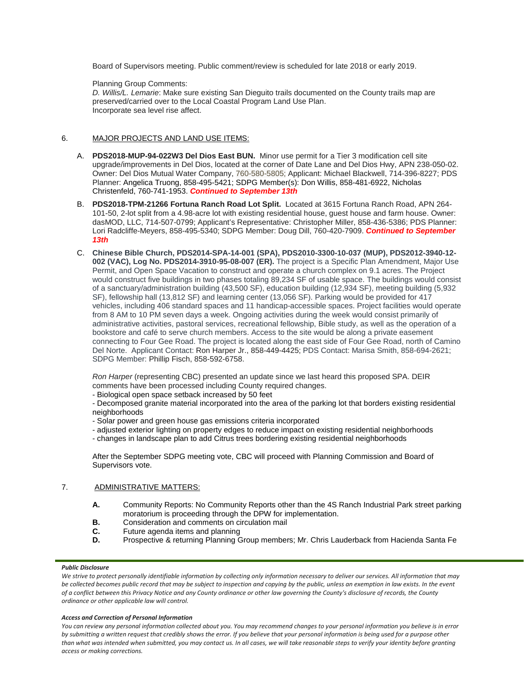Board of Supervisors meeting. Public comment/review is scheduled for late 2018 or early 2019.

Planning Group Comments:

*D. Willis/L. Lemarie*: Make sure existing San Dieguito trails documented on the County trails map are preserved/carried over to the Local Coastal Program Land Use Plan. Incorporate sea level rise affect.

# 6. MAJOR PROJECTS AND LAND USE ITEMS:

- A. **PDS2018-MUP-94-022W3 Del Dios East BUN.** Minor use permit for a Tier 3 modification cell site upgrade/improvements in Del Dios, located at the corner of Date Lane and Del Dios Hwy, APN 238-050-02. Owner: Del Dios Mutual Water Company, 760-580-5805; Applicant: Michael Blackwell, 714-396-8227; PDS Planner: Angelica Truong, 858-495-5421; SDPG Member(s): Don Willis, 858-481-6922, Nicholas Christenfeld, 760-741-1953. *Continued to September 13th*
- B. **PDS2018-TPM-21266 Fortuna Ranch Road Lot Split.** Located at 3615 Fortuna Ranch Road, APN 264- 101-50, 2-lot split from a 4.98-acre lot with existing residential house, guest house and farm house. Owner: dasMOD, LLC, 714-507-0799; Applicant's Representative: Christopher Miller, 858-436-5386; PDS Planner: Lori Radcliffe-Meyers, 858-495-5340; SDPG Member: Doug Dill, 760-420-7909. *Continued to September 13th*
- C. **Chinese Bible Church, PDS2014-SPA-14-001 (SPA), PDS2010-3300-10-037 (MUP), PDS2012-3940-12- 002 (VAC), Log No. PDS2014-3910-95-08-007 (ER).** The project is a Specific Plan Amendment, Major Use Permit, and Open Space Vacation to construct and operate a church complex on 9.1 acres. The Project would construct five buildings in two phases totaling 89,234 SF of usable space. The buildings would consist of a sanctuary/administration building (43,500 SF), education building (12,934 SF), meeting building (5,932 SF), fellowship hall (13,812 SF) and learning center (13,056 SF). Parking would be provided for 417 vehicles, including 406 standard spaces and 11 handicap-accessible spaces. Project facilities would operate from 8 AM to 10 PM seven days a week. Ongoing activities during the week would consist primarily of administrative activities, pastoral services, recreational fellowship, Bible study, as well as the operation of a bookstore and café to serve church members. Access to the site would be along a private easement connecting to Four Gee Road. The project is located along the east side of Four Gee Road, north of Camino Del Norte. Applicant Contact: Ron Harper Jr., 858-449-4425; PDS Contact: Marisa Smith, 858-694-2621; SDPG Member: Phillip Fisch, 858-592-6758.

*Ron Harper* (representing CBC) presented an update since we last heard this proposed SPA. DEIR comments have been processed including County required changes.

- Biological open space setback increased by 50 feet
- Decomposed granite material incorporated into the area of the parking lot that borders existing residential neighborhoods
- Solar power and green house gas emissions criteria incorporated
- adjusted exterior lighting on property edges to reduce impact on existing residential neighborhoods
- changes in landscape plan to add Citrus trees bordering existing residential neighborhoods

After the September SDPG meeting vote, CBC will proceed with Planning Commission and Board of Supervisors vote.

## 7. ADMINISTRATIVE MATTERS:

- **A.** Community Reports: No Community Reports other than the 4S Ranch Industrial Park street parking moratorium is proceeding through the DPW for implementation.
- **B.** Consideration and comments on circulation mail<br>**C.** Future agenda items and planning
- **C.** Future agenda items and planning<br>**D.** Prospective & returning Planning G.
- Prospective & returning Planning Group members; Mr. Chris Lauderback from Hacienda Santa Fe

### *Public Disclosure*

We strive to protect personally identifiable information by collecting only information necessary to deliver our services. All information that may *be collected becomes public record that may be subject to inspection and copying by the public, unless an exemption in law exists. In the event of a conflict between this Privacy Notice and any County ordinance or other law governing the County's disclosure of records, the County ordinance or other applicable law will control.*

#### *Access and Correction of Personal Information*

*You can review any personal information collected about you. You may recommend changes to your personal information you believe is in error*  by submitting a written request that credibly shows the error. If you believe that your personal information is being used for a purpose other *than what was intended when submitted, you may contact us. In all cases, we will take reasonable steps to verify your identity before granting access or making corrections.*